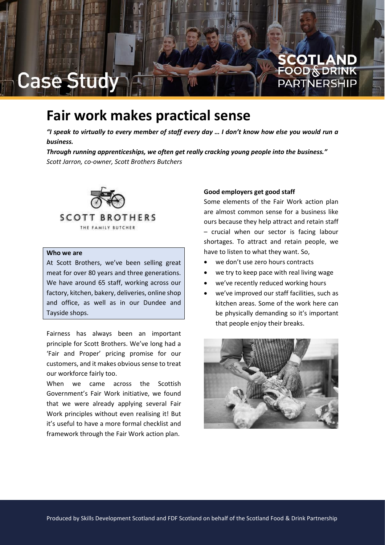## **Fair work makes practical sense**

*"I speak to virtually to every member of staff every day … I don't know how else you would run a business.*

*Through running apprenticeships, we often get really cracking young people into the business." Scott Jarron, co-owner, Scott Brothers Butchers*



## **Who we are**

Case Stud

At Scott Brothers, we've been selling great meat for over 80 years and three generations. We have around 65 staff, working across our factory, kitchen, bakery, deliveries, online shop and office, as well as in our Dundee and Tayside shops.

Fairness has always been an important principle for Scott Brothers. We've long had a 'Fair and Proper' pricing promise for our customers, and it makes obvious sense to treat our workforce fairly too.

When we came across the Scottish Government's Fair Work initiative, we found that we were already applying several Fair Work principles without even realising it! But it's useful to have a more formal checklist and framework through the Fair Work action plan.

#### **Good employers get good staff**

Some elements of the Fair Work action plan are almost common sense for a business like ours because they help attract and retain staff – crucial when our sector is facing labour shortages. To attract and retain people, we have to listen to what they want. So,

**COTLAND**<br>OOD§DRINK

PARTNFRSH

- we don't use zero hours contracts
- we try to keep pace with real living wage
- we've recently reduced working hours
- we've improved our staff facilities, such as kitchen areas. Some of the work here can be physically demanding so it's important that people enjoy their breaks.

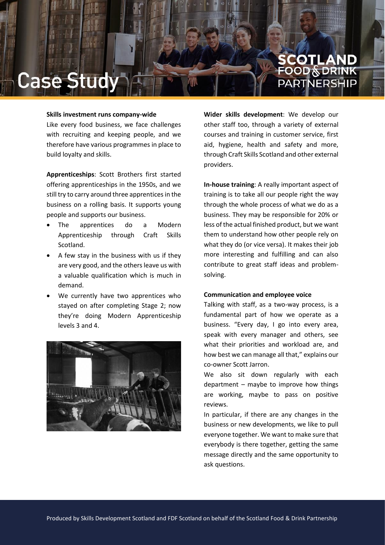# **COTLAND**<br>OOD§DRINK PARTNERSH

#### **Skills investment runs company-wide**

Like every food business, we face challenges with recruiting and keeping people, and we therefore have various programmes in place to build loyalty and skills.

**Apprenticeships**: Scott Brothers first started offering apprenticeships in the 1950s, and we still try to carry around three apprentices in the business on a rolling basis. It supports young people and supports our business.

- The apprentices do a Modern Apprenticeship through Craft Skills Scotland.
- A few stay in the business with us if they are very good, and the others leave us with a valuable qualification which is much in demand.
- We currently have two apprentices who stayed on after completing Stage 2; now they're doing Modern Apprenticeship levels 3 and 4.



**Wider skills development**: We develop our other staff too, through a variety of external courses and training in customer service, first aid, hygiene, health and safety and more, through Craft Skills Scotland and other external providers.

**In-house training**: A really important aspect of training is to take all our people right the way through the whole process of what we do as a business. They may be responsible for 20% or less of the actual finished product, but we want them to understand how other people rely on what they do (or vice versa). It makes their job more interesting and fulfilling and can also contribute to great staff ideas and problemsolving.

### **Communication and employee voice**

Talking with staff, as a two-way process, is a fundamental part of how we operate as a business. "Every day, I go into every area, speak with every manager and others, see what their priorities and workload are, and how best we can manage all that," explains our co-owner Scott Jarron.

We also sit down regularly with each department – maybe to improve how things are working, maybe to pass on positive reviews.

In particular, if there are any changes in the business or new developments, we like to pull everyone together. We want to make sure that everybody is there together, getting the same message directly and the same opportunity to ask questions.